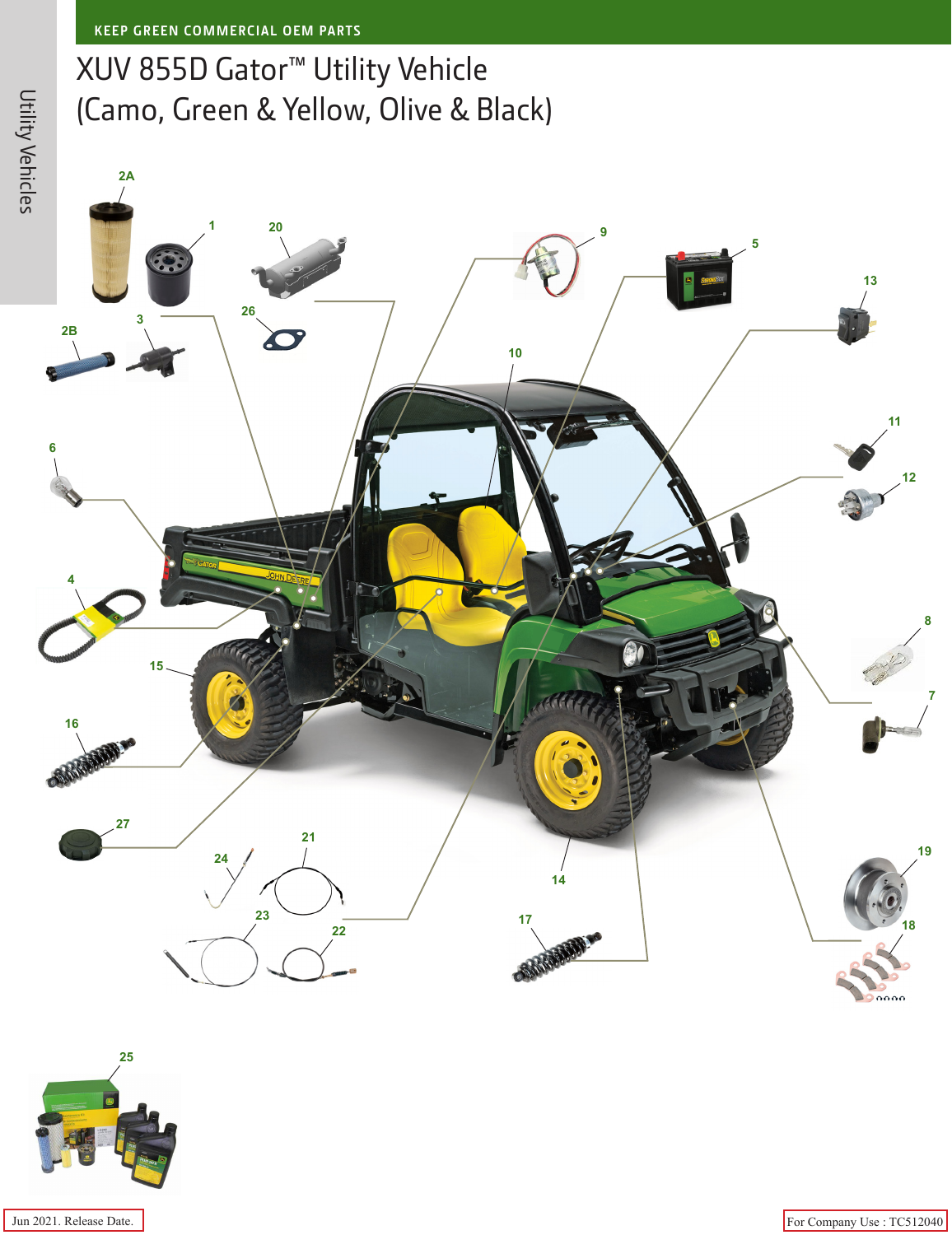## XUV 855D Gator™ Utility Vehicle (Camo, Green & Yellow, Olive & Black)

**2A**





Jun 2021. Release Date. For Company Use : TC512040